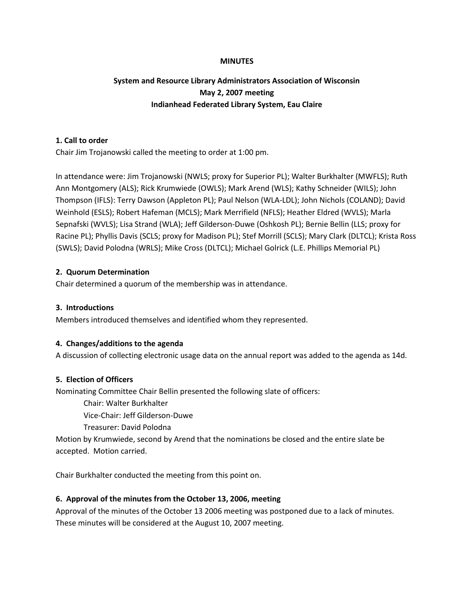#### **MINUTES**

# **System and Resource Library Administrators Association of Wisconsin May 2, 2007 meeting Indianhead Federated Library System, Eau Claire**

## **1. Call to order**

Chair Jim Trojanowski called the meeting to order at 1:00 pm.

In attendance were: Jim Trojanowski (NWLS; proxy for Superior PL); Walter Burkhalter (MWFLS); Ruth Ann Montgomery (ALS); Rick Krumwiede (OWLS); Mark Arend (WLS); Kathy Schneider (WILS); John Thompson (IFLS): Terry Dawson (Appleton PL); Paul Nelson (WLA-LDL); John Nichols (COLAND); David Weinhold (ESLS); Robert Hafeman (MCLS); Mark Merrifield (NFLS); Heather Eldred (WVLS); Marla Sepnafski (WVLS); Lisa Strand (WLA); Jeff Gilderson-Duwe (Oshkosh PL); Bernie Bellin (LLS; proxy for Racine PL); Phyllis Davis (SCLS; proxy for Madison PL); Stef Morrill (SCLS); Mary Clark (DLTCL); Krista Ross (SWLS); David Polodna (WRLS); Mike Cross (DLTCL); Michael Golrick (L.E. Phillips Memorial PL)

#### **2. Quorum Determination**

Chair determined a quorum of the membership was in attendance.

#### **3. Introductions**

Members introduced themselves and identified whom they represented.

#### **4. Changes/additions to the agenda**

A discussion of collecting electronic usage data on the annual report was added to the agenda as 14d.

#### **5. Election of Officers**

Nominating Committee Chair Bellin presented the following slate of officers:

Chair: Walter Burkhalter

Vice-Chair: Jeff Gilderson-Duwe

Treasurer: David Polodna

Motion by Krumwiede, second by Arend that the nominations be closed and the entire slate be accepted. Motion carried.

Chair Burkhalter conducted the meeting from this point on.

#### **6. Approval of the minutes from the October 13, 2006, meeting**

Approval of the minutes of the October 13 2006 meeting was postponed due to a lack of minutes. These minutes will be considered at the August 10, 2007 meeting.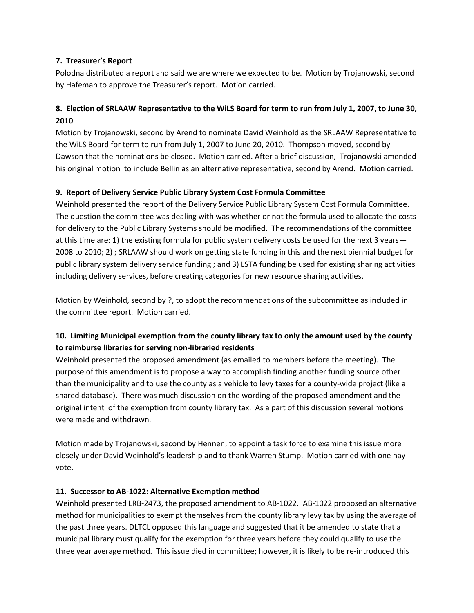## **7. Treasurer's Report**

Polodna distributed a report and said we are where we expected to be. Motion by Trojanowski, second by Hafeman to approve the Treasurer's report. Motion carried.

# **8. Election of SRLAAW Representative to the WiLS Board for term to run from July 1, 2007, to June 30, 2010**

Motion by Trojanowski, second by Arend to nominate David Weinhold as the SRLAAW Representative to the WiLS Board for term to run from July 1, 2007 to June 20, 2010. Thompson moved, second by Dawson that the nominations be closed. Motion carried. After a brief discussion, Trojanowski amended his original motion to include Bellin as an alternative representative, second by Arend. Motion carried.

# **9. Report of Delivery Service Public Library System Cost Formula Committee**

Weinhold presented the report of the Delivery Service Public Library System Cost Formula Committee. The question the committee was dealing with was whether or not the formula used to allocate the costs for delivery to the Public Library Systems should be modified. The recommendations of the committee at this time are: 1) the existing formula for public system delivery costs be used for the next 3 years— 2008 to 2010; 2) ; SRLAAW should work on getting state funding in this and the next biennial budget for public library system delivery service funding ; and 3) LSTA funding be used for existing sharing activities including delivery services, before creating categories for new resource sharing activities.

Motion by Weinhold, second by ?, to adopt the recommendations of the subcommittee as included in the committee report. Motion carried.

# **10. Limiting Municipal exemption from the county library tax to only the amount used by the county to reimburse libraries for serving non-libraried residents**

Weinhold presented the proposed amendment (as emailed to members before the meeting). The purpose of this amendment is to propose a way to accomplish finding another funding source other than the municipality and to use the county as a vehicle to levy taxes for a county-wide project (like a shared database). There was much discussion on the wording of the proposed amendment and the original intent of the exemption from county library tax. As a part of this discussion several motions were made and withdrawn.

Motion made by Trojanowski, second by Hennen, to appoint a task force to examine this issue more closely under David Weinhold's leadership and to thank Warren Stump. Motion carried with one nay vote.

# **11. Successor to AB-1022: Alternative Exemption method**

Weinhold presented LRB-2473, the proposed amendment to AB-1022. AB-1022 proposed an alternative method for municipalities to exempt themselves from the county library levy tax by using the average of the past three years. DLTCL opposed this language and suggested that it be amended to state that a municipal library must qualify for the exemption for three years before they could qualify to use the three year average method. This issue died in committee; however, it is likely to be re-introduced this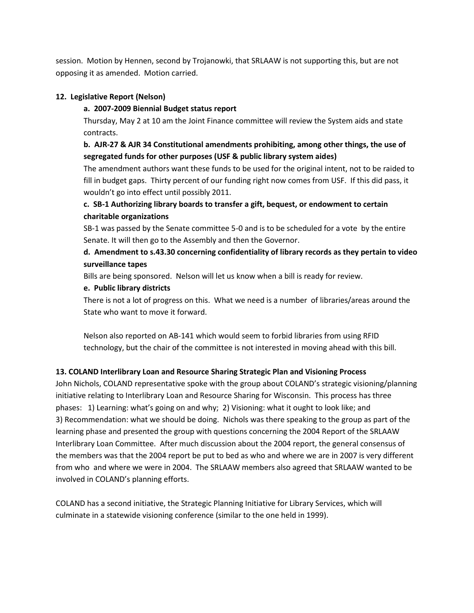session. Motion by Hennen, second by Trojanowki, that SRLAAW is not supporting this, but are not opposing it as amended. Motion carried.

## **12. Legislative Report (Nelson)**

## **a. 2007-2009 Biennial Budget status report**

Thursday, May 2 at 10 am the Joint Finance committee will review the System aids and state contracts.

# **b. AJR-27 & AJR 34 Constitutional amendments prohibiting, among other things, the use of segregated funds for other purposes (USF & public library system aides)**

The amendment authors want these funds to be used for the original intent, not to be raided to fill in budget gaps. Thirty percent of our funding right now comes from USF. If this did pass, it wouldn't go into effect until possibly 2011.

# **c. SB-1 Authorizing library boards to transfer a gift, bequest, or endowment to certain charitable organizations**

SB-1 was passed by the Senate committee 5-0 and is to be scheduled for a vote by the entire Senate. It will then go to the Assembly and then the Governor.

# **d. Amendment to s.43.30 concerning confidentiality of library records as they pertain to video surveillance tapes**

Bills are being sponsored. Nelson will let us know when a bill is ready for review.

## **e. Public library districts**

There is not a lot of progress on this. What we need is a number of libraries/areas around the State who want to move it forward.

Nelson also reported on AB-141 which would seem to forbid libraries from using RFID technology, but the chair of the committee is not interested in moving ahead with this bill.

# **13. COLAND Interlibrary Loan and Resource Sharing Strategic Plan and Visioning Process**

John Nichols, COLAND representative spoke with the group about COLAND's strategic visioning/planning initiative relating to Interlibrary Loan and Resource Sharing for Wisconsin. This process has three phases: 1) Learning: what's going on and why; 2) Visioning: what it ought to look like; and 3) Recommendation: what we should be doing. Nichols was there speaking to the group as part of the learning phase and presented the group with questions concerning the 2004 Report of the SRLAAW Interlibrary Loan Committee. After much discussion about the 2004 report, the general consensus of the members was that the 2004 report be put to bed as who and where we are in 2007 is very different from who and where we were in 2004. The SRLAAW members also agreed that SRLAAW wanted to be involved in COLAND's planning efforts.

COLAND has a second initiative, the Strategic Planning Initiative for Library Services, which will culminate in a statewide visioning conference (similar to the one held in 1999).